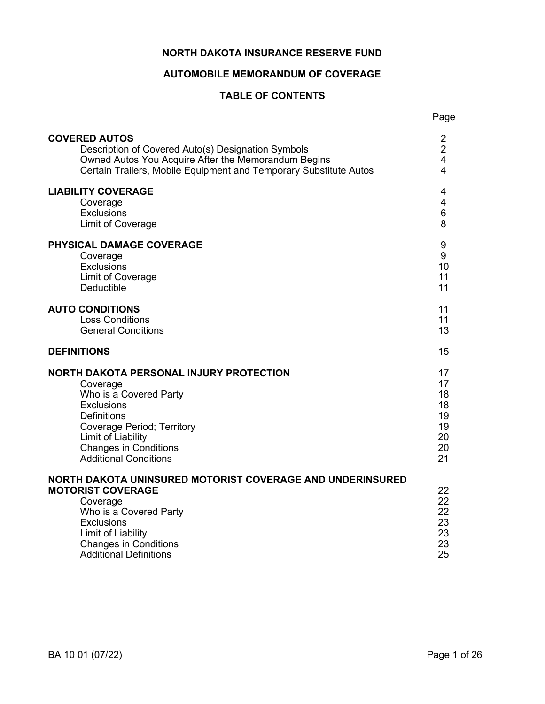## **NORTH DAKOTA INSURANCE RESERVE FUND**

# **AUTOMOBILE MEMORANDUM OF COVERAGE**

# **TABLE OF CONTENTS**

| <b>COVERED AUTOS</b>                                                                                                                                                                                                                    | 2                                      |
|-----------------------------------------------------------------------------------------------------------------------------------------------------------------------------------------------------------------------------------------|----------------------------------------|
| Description of Covered Auto(s) Designation Symbols                                                                                                                                                                                      | $\overline{2}$                         |
| Owned Autos You Acquire After the Memorandum Begins                                                                                                                                                                                     | $\overline{\mathbf{4}}$                |
| Certain Trailers, Mobile Equipment and Temporary Substitute Autos                                                                                                                                                                       | $\overline{4}$                         |
| <b>LIABILITY COVERAGE</b>                                                                                                                                                                                                               | 4                                      |
| Coverage                                                                                                                                                                                                                                | $\overline{\mathbf{4}}$                |
| <b>Exclusions</b>                                                                                                                                                                                                                       | $\,6\,$                                |
| Limit of Coverage                                                                                                                                                                                                                       | 8                                      |
| <b>PHYSICAL DAMAGE COVERAGE</b>                                                                                                                                                                                                         | 9                                      |
| Coverage                                                                                                                                                                                                                                | $9\,$                                  |
| <b>Exclusions</b>                                                                                                                                                                                                                       | 10                                     |
| Limit of Coverage                                                                                                                                                                                                                       | 11                                     |
| <b>Deductible</b>                                                                                                                                                                                                                       | 11                                     |
| <b>AUTO CONDITIONS</b>                                                                                                                                                                                                                  | 11                                     |
| <b>Loss Conditions</b>                                                                                                                                                                                                                  | 11                                     |
| <b>General Conditions</b>                                                                                                                                                                                                               | 13                                     |
| <b>DEFINITIONS</b>                                                                                                                                                                                                                      | 15                                     |
| NORTH DAKOTA PERSONAL INJURY PROTECTION                                                                                                                                                                                                 | 17                                     |
| Coverage                                                                                                                                                                                                                                | 17                                     |
| Who is a Covered Party                                                                                                                                                                                                                  | 18                                     |
| <b>Exclusions</b>                                                                                                                                                                                                                       | 18                                     |
| <b>Definitions</b>                                                                                                                                                                                                                      | 19                                     |
| <b>Coverage Period; Territory</b>                                                                                                                                                                                                       | 19                                     |
| Limit of Liability                                                                                                                                                                                                                      | 20                                     |
| <b>Changes in Conditions</b>                                                                                                                                                                                                            | 20                                     |
| <b>Additional Conditions</b>                                                                                                                                                                                                            | 21                                     |
| NORTH DAKOTA UNINSURED MOTORIST COVERAGE AND UNDERINSURED<br><b>MOTORIST COVERAGE</b><br>Coverage<br>Who is a Covered Party<br><b>Exclusions</b><br>Limit of Liability<br><b>Changes in Conditions</b><br><b>Additional Definitions</b> | 22<br>22<br>22<br>23<br>23<br>23<br>25 |

Page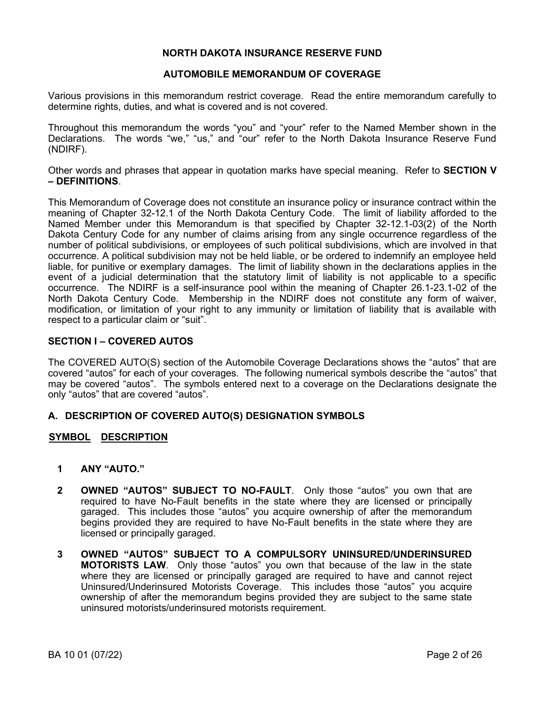## **NORTH DAKOTA INSURANCE RESERVE FUND**

## **AUTOMOBILE MEMORANDUM OF COVERAGE**

Various provisions in this memorandum restrict coverage. Read the entire memorandum carefully to determine rights, duties, and what is covered and is not covered.

Throughout this memorandum the words "you" and "your" refer to the Named Member shown in the Declarations. The words "we," "us," and "our" refer to the North Dakota Insurance Reserve Fund (NDIRF).

Other words and phrases that appear in quotation marks have special meaning. Refer to **SECTION V – DEFINITIONS**.

This Memorandum of Coverage does not constitute an insurance policy or insurance contract within the meaning of Chapter 32-12.1 of the North Dakota Century Code. The limit of liability afforded to the Named Member under this Memorandum is that specified by Chapter 32-12.1-03(2) of the North Dakota Century Code for any number of claims arising from any single occurrence regardless of the number of political subdivisions, or employees of such political subdivisions, which are involved in that occurrence. A political subdivision may not be held liable, or be ordered to indemnify an employee held liable, for punitive or exemplary damages. The limit of liability shown in the declarations applies in the event of a judicial determination that the statutory limit of liability is not applicable to a specific occurrence. The NDIRF is a self-insurance pool within the meaning of Chapter 26.1-23.1-02 of the North Dakota Century Code. Membership in the NDIRF does not constitute any form of waiver, modification, or limitation of your right to any immunity or limitation of liability that is available with respect to a particular claim or "suit".

### **SECTION I – COVERED AUTOS**

The COVERED AUTO(S) section of the Automobile Coverage Declarations shows the "autos" that are covered "autos" for each of your coverages. The following numerical symbols describe the "autos" that may be covered "autos". The symbols entered next to a coverage on the Declarations designate the only "autos" that are covered "autos".

## **A. DESCRIPTION OF COVERED AUTO(S) DESIGNATION SYMBOLS**

## **SYMBOL DESCRIPTION**

- **1 ANY "AUTO."**
- **2 OWNED "AUTOS" SUBJECT TO NO-FAULT**. Only those "autos" you own that are required to have No-Fault benefits in the state where they are licensed or principally garaged. This includes those "autos" you acquire ownership of after the memorandum begins provided they are required to have No-Fault benefits in the state where they are licensed or principally garaged.
- **3 OWNED "AUTOS" SUBJECT TO A COMPULSORY UNINSURED/UNDERINSURED MOTORISTS LAW**. Only those "autos" you own that because of the law in the state where they are licensed or principally garaged are required to have and cannot reject Uninsured/Underinsured Motorists Coverage. This includes those "autos" you acquire ownership of after the memorandum begins provided they are subject to the same state uninsured motorists/underinsured motorists requirement.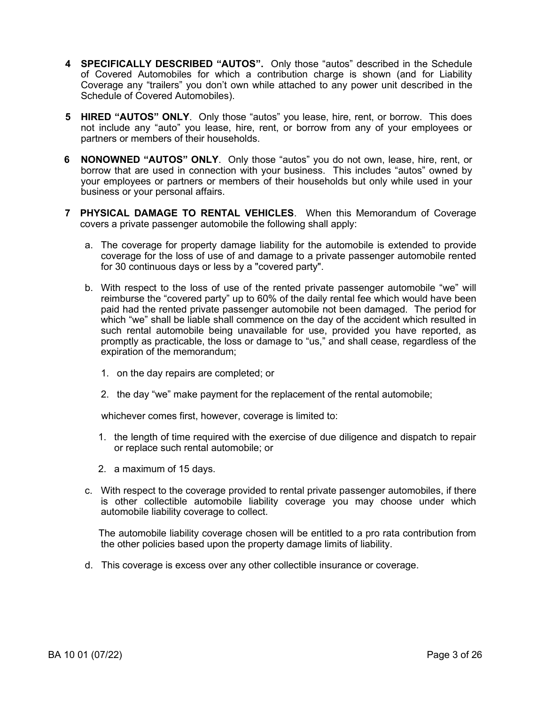- **4 SPECIFICALLY DESCRIBED "AUTOS".** Only those "autos" described in the Schedule of Covered Automobiles for which a contribution charge is shown (and for Liability Coverage any "trailers" you don't own while attached to any power unit described in the Schedule of Covered Automobiles).
- **5 HIRED "AUTOS" ONLY**. Only those "autos" you lease, hire, rent, or borrow. This does not include any "auto" you lease, hire, rent, or borrow from any of your employees or partners or members of their households.
- **6 NONOWNED "AUTOS" ONLY**. Only those "autos" you do not own, lease, hire, rent, or borrow that are used in connection with your business. This includes "autos" owned by your employees or partners or members of their households but only while used in your business or your personal affairs.
- **7 PHYSICAL DAMAGE TO RENTAL VEHICLES**. When this Memorandum of Coverage covers a private passenger automobile the following shall apply:
	- a. The coverage for property damage liability for the automobile is extended to provide coverage for the loss of use of and damage to a private passenger automobile rented for 30 continuous days or less by a "covered party".
	- b. With respect to the loss of use of the rented private passenger automobile "we" will reimburse the "covered party" up to 60% of the daily rental fee which would have been paid had the rented private passenger automobile not been damaged. The period for which "we" shall be liable shall commence on the day of the accident which resulted in such rental automobile being unavailable for use, provided you have reported, as promptly as practicable, the loss or damage to "us," and shall cease, regardless of the expiration of the memorandum;
		- 1. on the day repairs are completed; or
		- 2. the day "we" make payment for the replacement of the rental automobile;

whichever comes first, however, coverage is limited to:

- 1. the length of time required with the exercise of due diligence and dispatch to repair or replace such rental automobile; or
- 2. a maximum of 15 days.
- c. With respect to the coverage provided to rental private passenger automobiles, if there is other collectible automobile liability coverage you may choose under which automobile liability coverage to collect.

 The automobile liability coverage chosen will be entitled to a pro rata contribution from the other policies based upon the property damage limits of liability.

d. This coverage is excess over any other collectible insurance or coverage.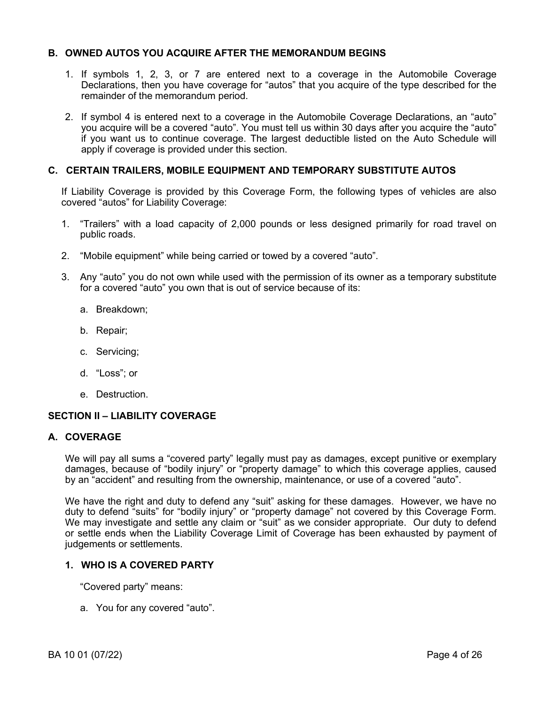# **B. OWNED AUTOS YOU ACQUIRE AFTER THE MEMORANDUM BEGINS**

- 1. If symbols 1, 2, 3, or 7 are entered next to a coverage in the Automobile Coverage Declarations, then you have coverage for "autos" that you acquire of the type described for the remainder of the memorandum period.
- 2. If symbol 4 is entered next to a coverage in the Automobile Coverage Declarations, an "auto" you acquire will be a covered "auto". You must tell us within 30 days after you acquire the "auto" if you want us to continue coverage. The largest deductible listed on the Auto Schedule will apply if coverage is provided under this section.

# **C. CERTAIN TRAILERS, MOBILE EQUIPMENT AND TEMPORARY SUBSTITUTE AUTOS**

If Liability Coverage is provided by this Coverage Form, the following types of vehicles are also covered "autos" for Liability Coverage:

- 1. "Trailers" with a load capacity of 2,000 pounds or less designed primarily for road travel on public roads.
- 2. "Mobile equipment" while being carried or towed by a covered "auto".
- 3. Any "auto" you do not own while used with the permission of its owner as a temporary substitute for a covered "auto" you own that is out of service because of its:
	- a. Breakdown;
	- b. Repair;
	- c. Servicing;
	- d. "Loss"; or
	- e. Destruction.

## **SECTION II – LIABILITY COVERAGE**

#### **A. COVERAGE**

We will pay all sums a "covered party" legally must pay as damages, except punitive or exemplary damages, because of "bodily injury" or "property damage" to which this coverage applies, caused by an "accident" and resulting from the ownership, maintenance, or use of a covered "auto".

We have the right and duty to defend any "suit" asking for these damages. However, we have no duty to defend "suits" for "bodily injury" or "property damage" not covered by this Coverage Form. We may investigate and settle any claim or "suit" as we consider appropriate. Our duty to defend or settle ends when the Liability Coverage Limit of Coverage has been exhausted by payment of judgements or settlements.

## **1. WHO IS A COVERED PARTY**

"Covered party" means:

a. You for any covered "auto".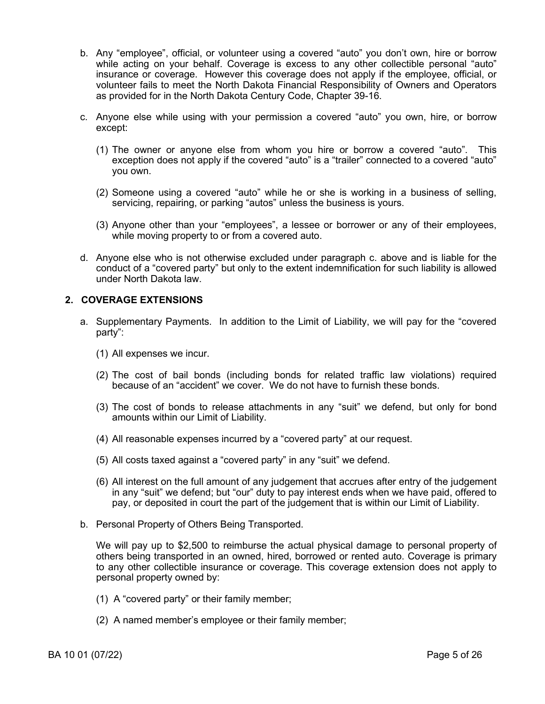- b. Any "employee", official, or volunteer using a covered "auto" you don't own, hire or borrow while acting on your behalf. Coverage is excess to any other collectible personal "auto" insurance or coverage. However this coverage does not apply if the employee, official, or volunteer fails to meet the North Dakota Financial Responsibility of Owners and Operators as provided for in the North Dakota Century Code, Chapter 39-16.
- c. Anyone else while using with your permission a covered "auto" you own, hire, or borrow except:
	- (1) The owner or anyone else from whom you hire or borrow a covered "auto". This exception does not apply if the covered "auto" is a "trailer" connected to a covered "auto" you own.
	- (2) Someone using a covered "auto" while he or she is working in a business of selling, servicing, repairing, or parking "autos" unless the business is yours.
	- (3) Anyone other than your "employees", a lessee or borrower or any of their employees, while moving property to or from a covered auto.
- d. Anyone else who is not otherwise excluded under paragraph c. above and is liable for the conduct of a "covered party" but only to the extent indemnification for such liability is allowed under North Dakota law.

# **2. COVERAGE EXTENSIONS**

- a. Supplementary Payments. In addition to the Limit of Liability, we will pay for the "covered party":
	- (1) All expenses we incur.
	- (2) The cost of bail bonds (including bonds for related traffic law violations) required because of an "accident" we cover. We do not have to furnish these bonds.
	- (3) The cost of bonds to release attachments in any "suit" we defend, but only for bond amounts within our Limit of Liability.
	- (4) All reasonable expenses incurred by a "covered party" at our request.
	- (5) All costs taxed against a "covered party" in any "suit" we defend.
	- (6) All interest on the full amount of any judgement that accrues after entry of the judgement in any "suit" we defend; but "our" duty to pay interest ends when we have paid, offered to pay, or deposited in court the part of the judgement that is within our Limit of Liability.
- b. Personal Property of Others Being Transported.

We will pay up to \$2,500 to reimburse the actual physical damage to personal property of others being transported in an owned, hired, borrowed or rented auto. Coverage is primary to any other collectible insurance or coverage. This coverage extension does not apply to personal property owned by:

- (1) A "covered party" or their family member;
- (2) A named member's employee or their family member;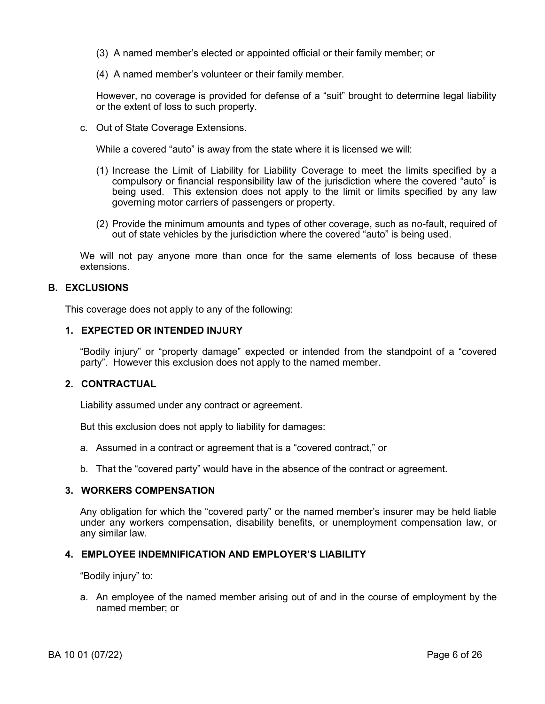- (3) A named member's elected or appointed official or their family member; or
- (4) A named member's volunteer or their family member.

However, no coverage is provided for defense of a "suit" brought to determine legal liability or the extent of loss to such property.

c. Out of State Coverage Extensions.

While a covered "auto" is away from the state where it is licensed we will:

- (1) Increase the Limit of Liability for Liability Coverage to meet the limits specified by a compulsory or financial responsibility law of the jurisdiction where the covered "auto" is being used. This extension does not apply to the limit or limits specified by any law governing motor carriers of passengers or property.
- (2) Provide the minimum amounts and types of other coverage, such as no-fault, required of out of state vehicles by the jurisdiction where the covered "auto" is being used.

We will not pay anyone more than once for the same elements of loss because of these extensions.

## **B. EXCLUSIONS**

This coverage does not apply to any of the following:

### **1. EXPECTED OR INTENDED INJURY**

"Bodily injury" or "property damage" expected or intended from the standpoint of a "covered party". However this exclusion does not apply to the named member.

## **2. CONTRACTUAL**

Liability assumed under any contract or agreement.

But this exclusion does not apply to liability for damages:

- a. Assumed in a contract or agreement that is a "covered contract," or
- b. That the "covered party" would have in the absence of the contract or agreement.

# **3. WORKERS COMPENSATION**

Any obligation for which the "covered party" or the named member's insurer may be held liable under any workers compensation, disability benefits, or unemployment compensation law, or any similar law.

## **4. EMPLOYEE INDEMNIFICATION AND EMPLOYER'S LIABILITY**

"Bodily injury" to:

a. An employee of the named member arising out of and in the course of employment by the named member; or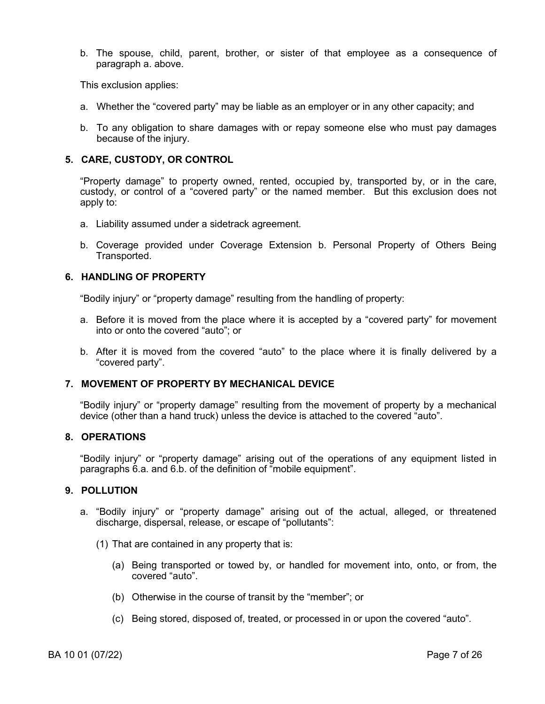b. The spouse, child, parent, brother, or sister of that employee as a consequence of paragraph a. above.

This exclusion applies:

- a. Whether the "covered party" may be liable as an employer or in any other capacity; and
- b. To any obligation to share damages with or repay someone else who must pay damages because of the injury.

## **5. CARE, CUSTODY, OR CONTROL**

"Property damage" to property owned, rented, occupied by, transported by, or in the care, custody, or control of a "covered party" or the named member. But this exclusion does not apply to:

- a. Liability assumed under a sidetrack agreement.
- b. Coverage provided under Coverage Extension b. Personal Property of Others Being Transported.

### **6. HANDLING OF PROPERTY**

"Bodily injury" or "property damage" resulting from the handling of property:

- a. Before it is moved from the place where it is accepted by a "covered party" for movement into or onto the covered "auto"; or
- b. After it is moved from the covered "auto" to the place where it is finally delivered by a "covered party".

## **7. MOVEMENT OF PROPERTY BY MECHANICAL DEVICE**

"Bodily injury" or "property damage" resulting from the movement of property by a mechanical device (other than a hand truck) unless the device is attached to the covered "auto".

## **8. OPERATIONS**

"Bodily injury" or "property damage" arising out of the operations of any equipment listed in paragraphs 6.a. and 6.b. of the definition of "mobile equipment".

### **9. POLLUTION**

- a. "Bodily injury" or "property damage" arising out of the actual, alleged, or threatened discharge, dispersal, release, or escape of "pollutants":
	- (1) That are contained in any property that is:
		- (a) Being transported or towed by, or handled for movement into, onto, or from, the covered "auto".
		- (b) Otherwise in the course of transit by the "member"; or
		- (c) Being stored, disposed of, treated, or processed in or upon the covered "auto".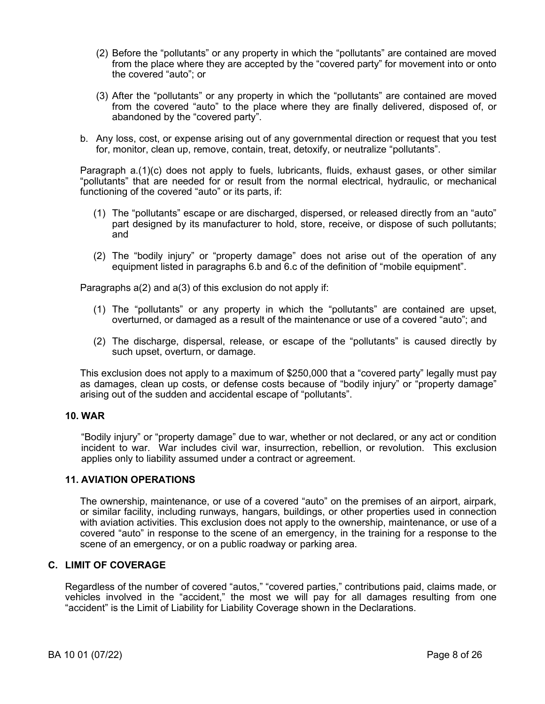- (2) Before the "pollutants" or any property in which the "pollutants" are contained are moved from the place where they are accepted by the "covered party" for movement into or onto the covered "auto"; or
- (3) After the "pollutants" or any property in which the "pollutants" are contained are moved from the covered "auto" to the place where they are finally delivered, disposed of, or abandoned by the "covered party".
- b. Any loss, cost, or expense arising out of any governmental direction or request that you test for, monitor, clean up, remove, contain, treat, detoxify, or neutralize "pollutants".

Paragraph a.(1)(c) does not apply to fuels, lubricants, fluids, exhaust gases, or other similar "pollutants" that are needed for or result from the normal electrical, hydraulic, or mechanical functioning of the covered "auto" or its parts, if:

- (1) The "pollutants" escape or are discharged, dispersed, or released directly from an "auto" part designed by its manufacturer to hold, store, receive, or dispose of such pollutants; and
- (2) The "bodily injury" or "property damage" does not arise out of the operation of any equipment listed in paragraphs 6.b and 6.c of the definition of "mobile equipment".

Paragraphs a(2) and a(3) of this exclusion do not apply if:

- (1) The "pollutants" or any property in which the "pollutants" are contained are upset, overturned, or damaged as a result of the maintenance or use of a covered "auto"; and
- (2) The discharge, dispersal, release, or escape of the "pollutants" is caused directly by such upset, overturn, or damage.

This exclusion does not apply to a maximum of \$250,000 that a "covered party" legally must pay as damages, clean up costs, or defense costs because of "bodily injury" or "property damage" arising out of the sudden and accidental escape of "pollutants".

## **10. WAR**

"Bodily injury" or "property damage" due to war, whether or not declared, or any act or condition incident to war. War includes civil war, insurrection, rebellion, or revolution. This exclusion applies only to liability assumed under a contract or agreement.

# **11. AVIATION OPERATIONS**

The ownership, maintenance, or use of a covered "auto" on the premises of an airport, airpark, or similar facility, including runways, hangars, buildings, or other properties used in connection with aviation activities. This exclusion does not apply to the ownership, maintenance, or use of a covered "auto" in response to the scene of an emergency, in the training for a response to the scene of an emergency, or on a public roadway or parking area.

## **C. LIMIT OF COVERAGE**

Regardless of the number of covered "autos," "covered parties," contributions paid, claims made, or vehicles involved in the "accident," the most we will pay for all damages resulting from one "accident" is the Limit of Liability for Liability Coverage shown in the Declarations.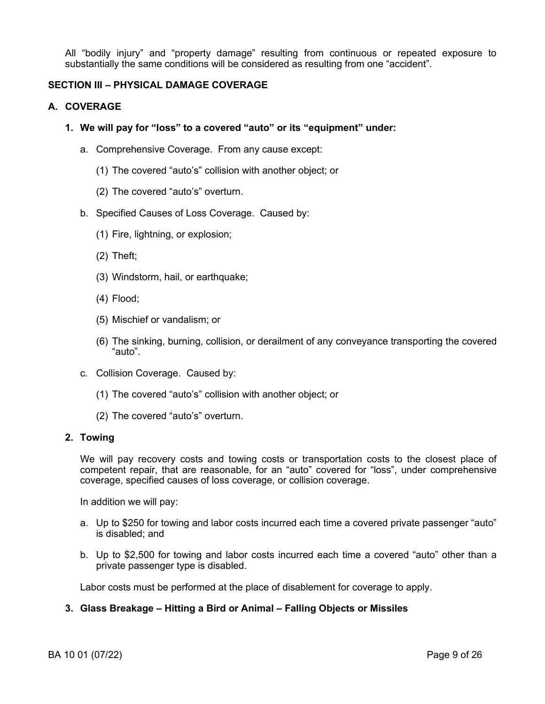All "bodily injury" and "property damage" resulting from continuous or repeated exposure to substantially the same conditions will be considered as resulting from one "accident".

# **SECTION III – PHYSICAL DAMAGE COVERAGE**

### **A. COVERAGE**

- **1. We will pay for "loss" to a covered "auto" or its "equipment" under:**
	- a. Comprehensive Coverage. From any cause except:
		- (1) The covered "auto's" collision with another object; or
		- (2) The covered "auto's" overturn.
	- b. Specified Causes of Loss Coverage. Caused by:
		- (1) Fire, lightning, or explosion;
		- (2) Theft;
		- (3) Windstorm, hail, or earthquake;
		- (4) Flood;
		- (5) Mischief or vandalism; or
		- (6) The sinking, burning, collision, or derailment of any conveyance transporting the covered "auto".
	- c. Collision Coverage. Caused by:
		- (1) The covered "auto's" collision with another object; or
		- (2) The covered "auto's" overturn.

#### **2. Towing**

We will pay recovery costs and towing costs or transportation costs to the closest place of competent repair, that are reasonable, for an "auto" covered for "loss", under comprehensive coverage, specified causes of loss coverage, or collision coverage.

In addition we will pay:

- a. Up to \$250 for towing and labor costs incurred each time a covered private passenger "auto" is disabled; and
- b. Up to \$2,500 for towing and labor costs incurred each time a covered "auto" other than a private passenger type is disabled.

Labor costs must be performed at the place of disablement for coverage to apply.

## **3. Glass Breakage – Hitting a Bird or Animal – Falling Objects or Missiles**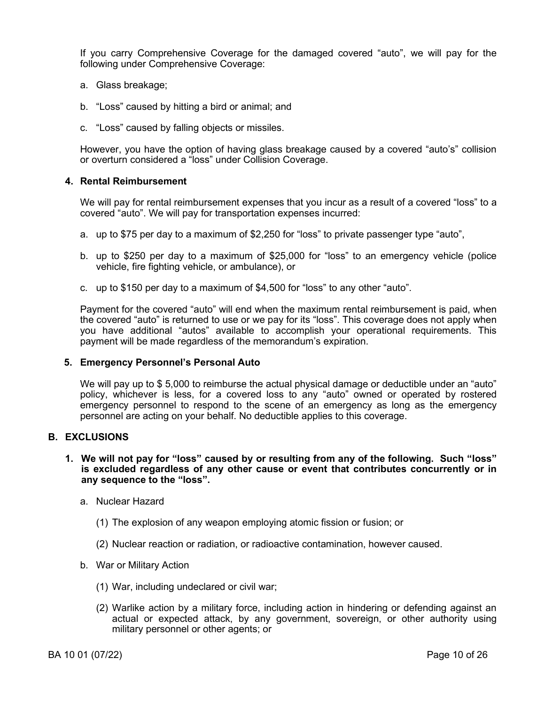If you carry Comprehensive Coverage for the damaged covered "auto", we will pay for the following under Comprehensive Coverage:

- a. Glass breakage;
- b. "Loss" caused by hitting a bird or animal; and
- c. "Loss" caused by falling objects or missiles.

However, you have the option of having glass breakage caused by a covered "auto's" collision or overturn considered a "loss" under Collision Coverage.

### **4. Rental Reimbursement**

We will pay for rental reimbursement expenses that you incur as a result of a covered "loss" to a covered "auto". We will pay for transportation expenses incurred:

- a. up to \$75 per day to a maximum of \$2,250 for "loss" to private passenger type "auto",
- b. up to \$250 per day to a maximum of \$25,000 for "loss" to an emergency vehicle (police vehicle, fire fighting vehicle, or ambulance), or
- c. up to \$150 per day to a maximum of \$4,500 for "loss" to any other "auto".

Payment for the covered "auto" will end when the maximum rental reimbursement is paid, when the covered "auto" is returned to use or we pay for its "loss". This coverage does not apply when you have additional "autos" available to accomplish your operational requirements. This payment will be made regardless of the memorandum's expiration.

#### **5. Emergency Personnel's Personal Auto**

We will pay up to \$ 5,000 to reimburse the actual physical damage or deductible under an "auto" policy, whichever is less, for a covered loss to any "auto" owned or operated by rostered emergency personnel to respond to the scene of an emergency as long as the emergency personnel are acting on your behalf. No deductible applies to this coverage.

#### **B. EXCLUSIONS**

### **1. We will not pay for "loss" caused by or resulting from any of the following. Such "loss" is excluded regardless of any other cause or event that contributes concurrently or in any sequence to the "loss".**

- a. Nuclear Hazard
	- (1) The explosion of any weapon employing atomic fission or fusion; or
	- (2) Nuclear reaction or radiation, or radioactive contamination, however caused.
- b. War or Military Action
	- (1) War, including undeclared or civil war;
	- (2) Warlike action by a military force, including action in hindering or defending against an actual or expected attack, by any government, sovereign, or other authority using military personnel or other agents; or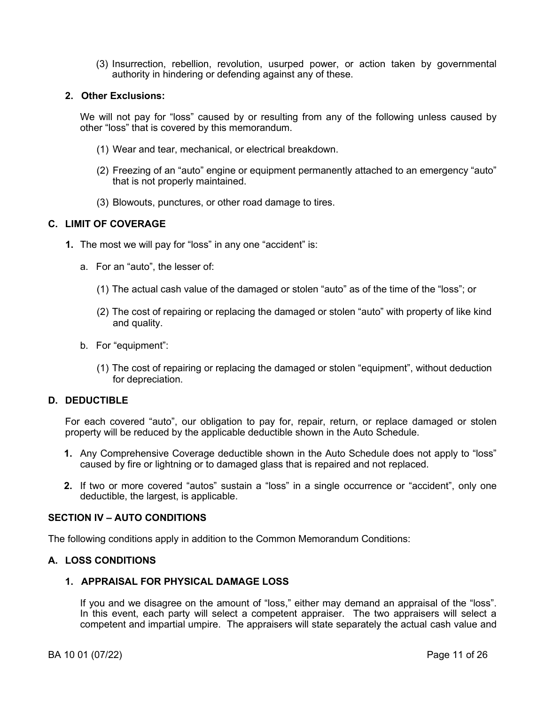(3) Insurrection, rebellion, revolution, usurped power, or action taken by governmental authority in hindering or defending against any of these.

### **2. Other Exclusions:**

We will not pay for "loss" caused by or resulting from any of the following unless caused by other "loss" that is covered by this memorandum.

- (1) Wear and tear, mechanical, or electrical breakdown.
- (2) Freezing of an "auto" engine or equipment permanently attached to an emergency "auto" that is not properly maintained.
- (3) Blowouts, punctures, or other road damage to tires.

## **C. LIMIT OF COVERAGE**

- **1.** The most we will pay for "loss" in any one "accident" is:
	- a. For an "auto", the lesser of:
		- (1) The actual cash value of the damaged or stolen "auto" as of the time of the "loss"; or
		- (2) The cost of repairing or replacing the damaged or stolen "auto" with property of like kind and quality.
	- b. For "equipment":
		- (1) The cost of repairing or replacing the damaged or stolen "equipment", without deduction for depreciation.

## **D. DEDUCTIBLE**

For each covered "auto", our obligation to pay for, repair, return, or replace damaged or stolen property will be reduced by the applicable deductible shown in the Auto Schedule.

- **1.** Any Comprehensive Coverage deductible shown in the Auto Schedule does not apply to "loss" caused by fire or lightning or to damaged glass that is repaired and not replaced.
- **2.** If two or more covered "autos" sustain a "loss" in a single occurrence or "accident", only one deductible, the largest, is applicable.

#### **SECTION IV – AUTO CONDITIONS**

The following conditions apply in addition to the Common Memorandum Conditions:

## **A. LOSS CONDITIONS**

# **1. APPRAISAL FOR PHYSICAL DAMAGE LOSS**

If you and we disagree on the amount of "loss," either may demand an appraisal of the "loss". In this event, each party will select a competent appraiser. The two appraisers will select a competent and impartial umpire. The appraisers will state separately the actual cash value and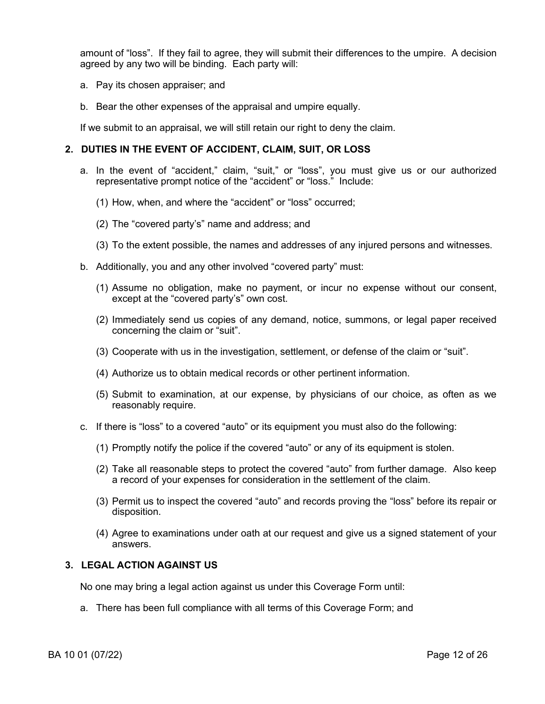amount of "loss". If they fail to agree, they will submit their differences to the umpire. A decision agreed by any two will be binding. Each party will:

- a. Pay its chosen appraiser; and
- b. Bear the other expenses of the appraisal and umpire equally.

If we submit to an appraisal, we will still retain our right to deny the claim.

## **2. DUTIES IN THE EVENT OF ACCIDENT, CLAIM, SUIT, OR LOSS**

- a. In the event of "accident," claim, "suit," or "loss", you must give us or our authorized representative prompt notice of the "accident" or "loss." Include:
	- (1) How, when, and where the "accident" or "loss" occurred;
	- (2) The "covered party's" name and address; and
	- (3) To the extent possible, the names and addresses of any injured persons and witnesses.
- b. Additionally, you and any other involved "covered party" must:
	- (1) Assume no obligation, make no payment, or incur no expense without our consent, except at the "covered party's" own cost.
	- (2) Immediately send us copies of any demand, notice, summons, or legal paper received concerning the claim or "suit".
	- (3) Cooperate with us in the investigation, settlement, or defense of the claim or "suit".
	- (4) Authorize us to obtain medical records or other pertinent information.
	- (5) Submit to examination, at our expense, by physicians of our choice, as often as we reasonably require.
- c. If there is "loss" to a covered "auto" or its equipment you must also do the following:
	- (1) Promptly notify the police if the covered "auto" or any of its equipment is stolen.
	- (2) Take all reasonable steps to protect the covered "auto" from further damage. Also keep a record of your expenses for consideration in the settlement of the claim.
	- (3) Permit us to inspect the covered "auto" and records proving the "loss" before its repair or disposition.
	- (4) Agree to examinations under oath at our request and give us a signed statement of your answers.

## **3. LEGAL ACTION AGAINST US**

No one may bring a legal action against us under this Coverage Form until:

a. There has been full compliance with all terms of this Coverage Form; and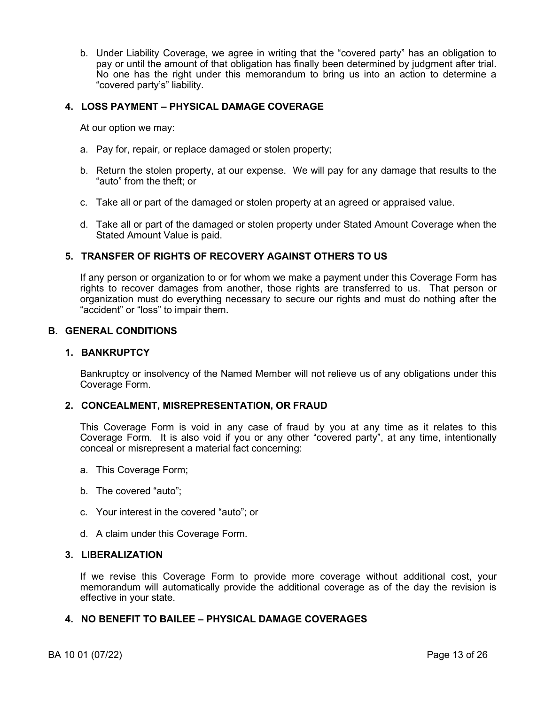b. Under Liability Coverage, we agree in writing that the "covered party" has an obligation to pay or until the amount of that obligation has finally been determined by judgment after trial. No one has the right under this memorandum to bring us into an action to determine a "covered party's" liability.

### **4. LOSS PAYMENT – PHYSICAL DAMAGE COVERAGE**

At our option we may:

- a. Pay for, repair, or replace damaged or stolen property;
- b. Return the stolen property, at our expense. We will pay for any damage that results to the "auto" from the theft; or
- c. Take all or part of the damaged or stolen property at an agreed or appraised value.
- d. Take all or part of the damaged or stolen property under Stated Amount Coverage when the Stated Amount Value is paid.

## **5. TRANSFER OF RIGHTS OF RECOVERY AGAINST OTHERS TO US**

If any person or organization to or for whom we make a payment under this Coverage Form has rights to recover damages from another, those rights are transferred to us. That person or organization must do everything necessary to secure our rights and must do nothing after the "accident" or "loss" to impair them.

### **B. GENERAL CONDITIONS**

### **1. BANKRUPTCY**

Bankruptcy or insolvency of the Named Member will not relieve us of any obligations under this Coverage Form.

## **2. CONCEALMENT, MISREPRESENTATION, OR FRAUD**

This Coverage Form is void in any case of fraud by you at any time as it relates to this Coverage Form. It is also void if you or any other "covered party", at any time, intentionally conceal or misrepresent a material fact concerning:

- a. This Coverage Form;
- b. The covered "auto";
- c. Your interest in the covered "auto"; or
- d. A claim under this Coverage Form.

### **3. LIBERALIZATION**

If we revise this Coverage Form to provide more coverage without additional cost, your memorandum will automatically provide the additional coverage as of the day the revision is effective in your state.

## **4. NO BENEFIT TO BAILEE – PHYSICAL DAMAGE COVERAGES**

BA 10 01 (07/22) Page 13 of 26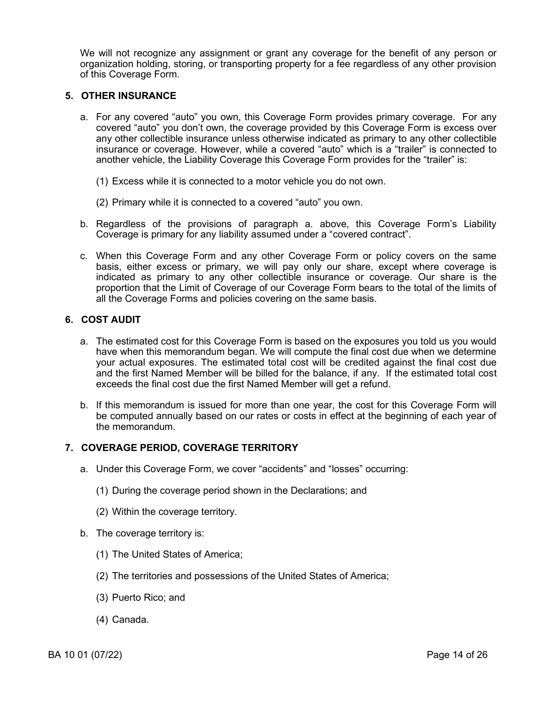We will not recognize any assignment or grant any coverage for the benefit of any person or organization holding, storing, or transporting property for a fee regardless of any other provision of this Coverage Form.

## **5. OTHER INSURANCE**

- a. For any covered "auto" you own, this Coverage Form provides primary coverage. For any covered "auto" you don't own, the coverage provided by this Coverage Form is excess over any other collectible insurance unless otherwise indicated as primary to any other collectible insurance or coverage. However, while a covered "auto" which is a "trailer" is connected to another vehicle, the Liability Coverage this Coverage Form provides for the "trailer" is:
	- (1) Excess while it is connected to a motor vehicle you do not own.
	- (2) Primary while it is connected to a covered "auto" you own.
- b. Regardless of the provisions of paragraph a. above, this Coverage Form's Liability Coverage is primary for any liability assumed under a "covered contract".
- c. When this Coverage Form and any other Coverage Form or policy covers on the same basis, either excess or primary, we will pay only our share, except where coverage is indicated as primary to any other collectible insurance or coverage. Our share is the proportion that the Limit of Coverage of our Coverage Form bears to the total of the limits of all the Coverage Forms and policies covering on the same basis.

## **6. COST AUDIT**

- a. The estimated cost for this Coverage Form is based on the exposures you told us you would have when this memorandum began. We will compute the final cost due when we determine your actual exposures. The estimated total cost will be credited against the final cost due and the first Named Member will be billed for the balance, if any. If the estimated total cost exceeds the final cost due the first Named Member will get a refund.
- b. If this memorandum is issued for more than one year, the cost for this Coverage Form will be computed annually based on our rates or costs in effect at the beginning of each year of the memorandum.

## **7. COVERAGE PERIOD, COVERAGE TERRITORY**

- a. Under this Coverage Form, we cover "accidents" and "losses" occurring:
	- (1) During the coverage period shown in the Declarations; and
	- (2) Within the coverage territory.
- b. The coverage territory is:
	- (1) The United States of America;
	- (2) The territories and possessions of the United States of America;
	- (3) Puerto Rico; and
	- (4) Canada.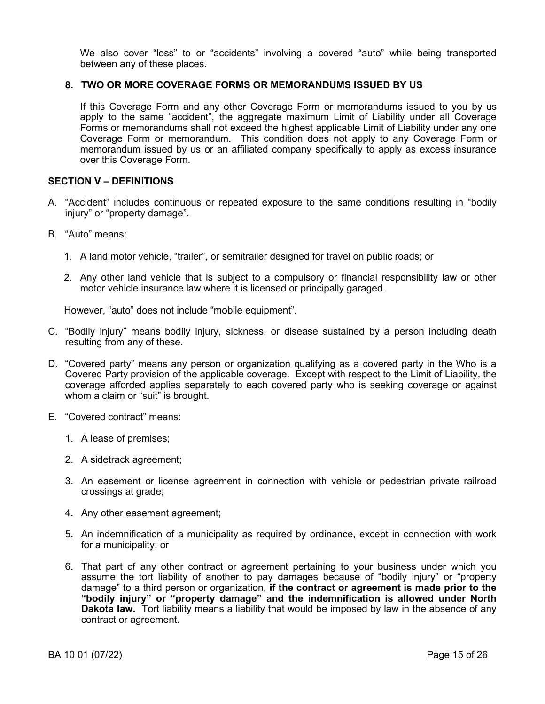We also cover "loss" to or "accidents" involving a covered "auto" while being transported between any of these places.

## **8. TWO OR MORE COVERAGE FORMS OR MEMORANDUMS ISSUED BY US**

If this Coverage Form and any other Coverage Form or memorandums issued to you by us apply to the same "accident", the aggregate maximum Limit of Liability under all Coverage Forms or memorandums shall not exceed the highest applicable Limit of Liability under any one Coverage Form or memorandum. This condition does not apply to any Coverage Form or memorandum issued by us or an affiliated company specifically to apply as excess insurance over this Coverage Form.

## **SECTION V – DEFINITIONS**

- A. "Accident" includes continuous or repeated exposure to the same conditions resulting in "bodily injury" or "property damage".
- B. "Auto" means:
	- 1. A land motor vehicle, "trailer", or semitrailer designed for travel on public roads; or
	- 2. Any other land vehicle that is subject to a compulsory or financial responsibility law or other motor vehicle insurance law where it is licensed or principally garaged.

However, "auto" does not include "mobile equipment".

- C. "Bodily injury" means bodily injury, sickness, or disease sustained by a person including death resulting from any of these.
- D. "Covered party" means any person or organization qualifying as a covered party in the Who is a Covered Party provision of the applicable coverage. Except with respect to the Limit of Liability, the coverage afforded applies separately to each covered party who is seeking coverage or against whom a claim or "suit" is brought.
- E. "Covered contract" means:
	- 1. A lease of premises;
	- 2. A sidetrack agreement;
	- 3. An easement or license agreement in connection with vehicle or pedestrian private railroad crossings at grade;
	- 4. Any other easement agreement;
	- 5. An indemnification of a municipality as required by ordinance, except in connection with work for a municipality; or
	- 6. That part of any other contract or agreement pertaining to your business under which you assume the tort liability of another to pay damages because of "bodily injury" or "property damage" to a third person or organization, **if the contract or agreement is made prior to the "bodily injury" or "property damage" and the indemnification is allowed under North Dakota law.** Tort liability means a liability that would be imposed by law in the absence of any contract or agreement.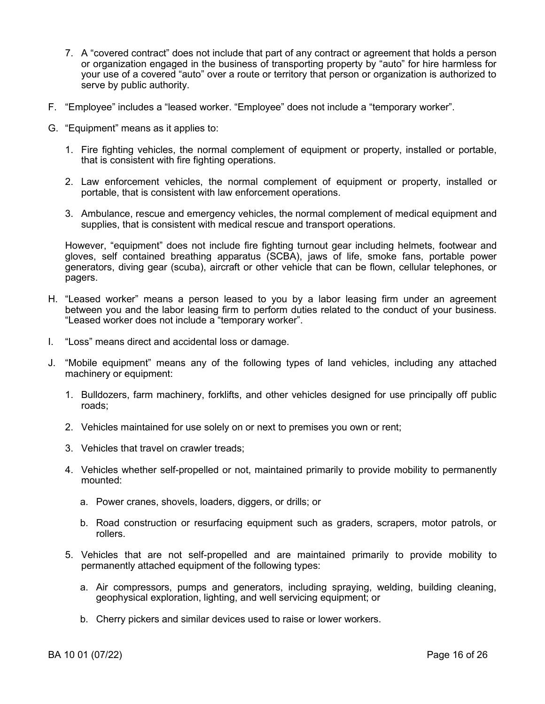- 7. A "covered contract" does not include that part of any contract or agreement that holds a person or organization engaged in the business of transporting property by "auto" for hire harmless for your use of a covered "auto" over a route or territory that person or organization is authorized to serve by public authority.
- F. "Employee" includes a "leased worker. "Employee" does not include a "temporary worker".
- G. "Equipment" means as it applies to:
	- 1. Fire fighting vehicles, the normal complement of equipment or property, installed or portable, that is consistent with fire fighting operations.
	- 2. Law enforcement vehicles, the normal complement of equipment or property, installed or portable, that is consistent with law enforcement operations.
	- 3. Ambulance, rescue and emergency vehicles, the normal complement of medical equipment and supplies, that is consistent with medical rescue and transport operations.

However, "equipment" does not include fire fighting turnout gear including helmets, footwear and gloves, self contained breathing apparatus (SCBA), jaws of life, smoke fans, portable power generators, diving gear (scuba), aircraft or other vehicle that can be flown, cellular telephones, or pagers.

- H. "Leased worker" means a person leased to you by a labor leasing firm under an agreement between you and the labor leasing firm to perform duties related to the conduct of your business. "Leased worker does not include a "temporary worker".
- I. "Loss" means direct and accidental loss or damage.
- J. "Mobile equipment" means any of the following types of land vehicles, including any attached machinery or equipment:
	- 1. Bulldozers, farm machinery, forklifts, and other vehicles designed for use principally off public roads;
	- 2. Vehicles maintained for use solely on or next to premises you own or rent;
	- 3. Vehicles that travel on crawler treads;
	- 4. Vehicles whether self-propelled or not, maintained primarily to provide mobility to permanently mounted:
		- a. Power cranes, shovels, loaders, diggers, or drills; or
		- b. Road construction or resurfacing equipment such as graders, scrapers, motor patrols, or rollers.
	- 5. Vehicles that are not self-propelled and are maintained primarily to provide mobility to permanently attached equipment of the following types:
		- a. Air compressors, pumps and generators, including spraying, welding, building cleaning, geophysical exploration, lighting, and well servicing equipment; or
		- b. Cherry pickers and similar devices used to raise or lower workers.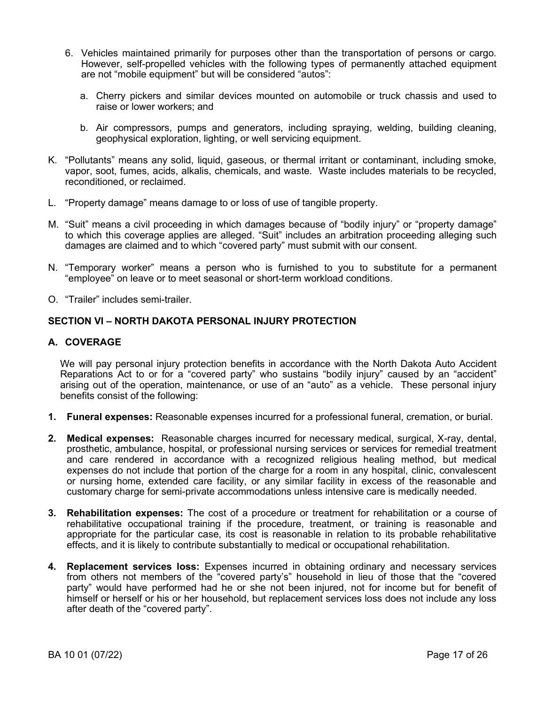- 6. Vehicles maintained primarily for purposes other than the transportation of persons or cargo. However, self-propelled vehicles with the following types of permanently attached equipment are not "mobile equipment" but will be considered "autos":
	- a. Cherry pickers and similar devices mounted on automobile or truck chassis and used to raise or lower workers; and
	- b. Air compressors, pumps and generators, including spraying, welding, building cleaning, geophysical exploration, lighting, or well servicing equipment.
- K. "Pollutants" means any solid, liquid, gaseous, or thermal irritant or contaminant, including smoke, vapor, soot, fumes, acids, alkalis, chemicals, and waste. Waste includes materials to be recycled, reconditioned, or reclaimed.
- L. "Property damage" means damage to or loss of use of tangible property.
- M. "Suit" means a civil proceeding in which damages because of "bodily injury" or "property damage" to which this coverage applies are alleged. "Suit" includes an arbitration proceeding alleging such damages are claimed and to which "covered party" must submit with our consent.
- N. "Temporary worker" means a person who is furnished to you to substitute for a permanent "employee" on leave or to meet seasonal or short-term workload conditions.
- O. "Trailer" includes semi-trailer.

## **SECTION VI – NORTH DAKOTA PERSONAL INJURY PROTECTION**

## **A. COVERAGE**

We will pay personal injury protection benefits in accordance with the North Dakota Auto Accident Reparations Act to or for a "covered party" who sustains "bodily injury" caused by an "accident" arising out of the operation, maintenance, or use of an "auto" as a vehicle. These personal injury benefits consist of the following:

- **1. Funeral expenses:** Reasonable expenses incurred for a professional funeral, cremation, or burial.
- **2. Medical expenses:** Reasonable charges incurred for necessary medical, surgical, X-ray, dental, prosthetic, ambulance, hospital, or professional nursing services or services for remedial treatment and care rendered in accordance with a recognized religious healing method, but medical expenses do not include that portion of the charge for a room in any hospital, clinic, convalescent or nursing home, extended care facility, or any similar facility in excess of the reasonable and customary charge for semi-private accommodations unless intensive care is medically needed.
- **3. Rehabilitation expenses:** The cost of a procedure or treatment for rehabilitation or a course of rehabilitative occupational training if the procedure, treatment, or training is reasonable and appropriate for the particular case, its cost is reasonable in relation to its probable rehabilitative effects, and it is likely to contribute substantially to medical or occupational rehabilitation.
- **4. Replacement services loss:** Expenses incurred in obtaining ordinary and necessary services from others not members of the "covered party's" household in lieu of those that the "covered party" would have performed had he or she not been injured, not for income but for benefit of himself or herself or his or her household, but replacement services loss does not include any loss after death of the "covered party".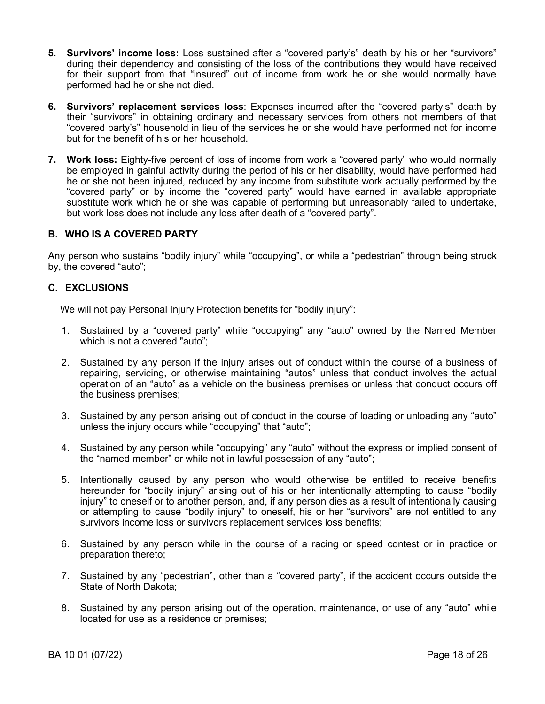- **5. Survivors' income loss:** Loss sustained after a "covered party's" death by his or her "survivors" during their dependency and consisting of the loss of the contributions they would have received for their support from that "insured" out of income from work he or she would normally have performed had he or she not died.
- **6. Survivors' replacement services loss**: Expenses incurred after the "covered party's" death by their "survivors" in obtaining ordinary and necessary services from others not members of that "covered party's" household in lieu of the services he or she would have performed not for income but for the benefit of his or her household.
- **7. Work loss:** Eighty-five percent of loss of income from work a "covered party" who would normally be employed in gainful activity during the period of his or her disability, would have performed had he or she not been injured, reduced by any income from substitute work actually performed by the "covered party" or by income the "covered party" would have earned in available appropriate substitute work which he or she was capable of performing but unreasonably failed to undertake, but work loss does not include any loss after death of a "covered party".

## **B. WHO IS A COVERED PARTY**

Any person who sustains "bodily injury" while "occupying", or while a "pedestrian" through being struck by, the covered "auto";

## **C. EXCLUSIONS**

We will not pay Personal Injury Protection benefits for "bodily injury":

- 1. Sustained by a "covered party" while "occupying" any "auto" owned by the Named Member which is not a covered "auto";
- 2. Sustained by any person if the injury arises out of conduct within the course of a business of repairing, servicing, or otherwise maintaining "autos" unless that conduct involves the actual operation of an "auto" as a vehicle on the business premises or unless that conduct occurs off the business premises;
- 3. Sustained by any person arising out of conduct in the course of loading or unloading any "auto" unless the injury occurs while "occupying" that "auto";
- 4. Sustained by any person while "occupying" any "auto" without the express or implied consent of the "named member" or while not in lawful possession of any "auto";
- 5. Intentionally caused by any person who would otherwise be entitled to receive benefits hereunder for "bodily injury" arising out of his or her intentionally attempting to cause "bodily injury" to oneself or to another person, and, if any person dies as a result of intentionally causing or attempting to cause "bodily injury" to oneself, his or her "survivors" are not entitled to any survivors income loss or survivors replacement services loss benefits;
- 6. Sustained by any person while in the course of a racing or speed contest or in practice or preparation thereto;
- 7. Sustained by any "pedestrian", other than a "covered party", if the accident occurs outside the State of North Dakota;
- 8. Sustained by any person arising out of the operation, maintenance, or use of any "auto" while located for use as a residence or premises;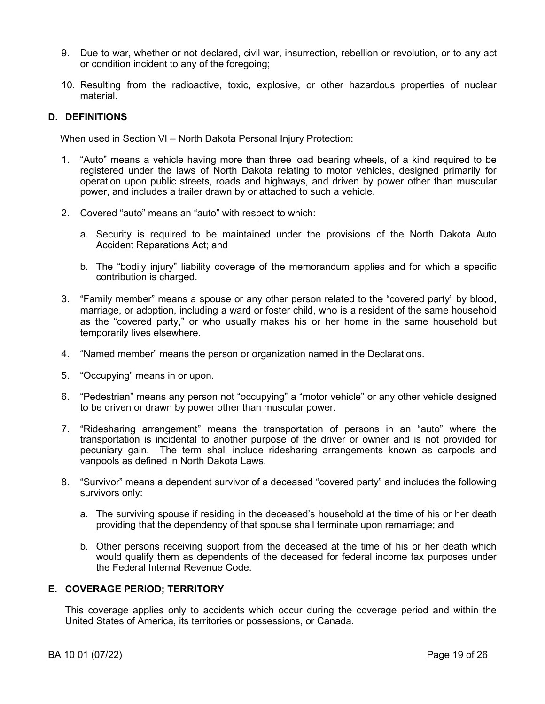- 9. Due to war, whether or not declared, civil war, insurrection, rebellion or revolution, or to any act or condition incident to any of the foregoing;
- 10. Resulting from the radioactive, toxic, explosive, or other hazardous properties of nuclear material.

# **D. DEFINITIONS**

When used in Section VI – North Dakota Personal Injury Protection:

- 1. "Auto" means a vehicle having more than three load bearing wheels, of a kind required to be registered under the laws of North Dakota relating to motor vehicles, designed primarily for operation upon public streets, roads and highways, and driven by power other than muscular power, and includes a trailer drawn by or attached to such a vehicle.
- 2. Covered "auto" means an "auto" with respect to which:
	- a. Security is required to be maintained under the provisions of the North Dakota Auto Accident Reparations Act; and
	- b. The "bodily injury" liability coverage of the memorandum applies and for which a specific contribution is charged.
- 3. "Family member" means a spouse or any other person related to the "covered party" by blood, marriage, or adoption, including a ward or foster child, who is a resident of the same household as the "covered party," or who usually makes his or her home in the same household but temporarily lives elsewhere.
- 4. "Named member" means the person or organization named in the Declarations.
- 5. "Occupying" means in or upon.
- 6. "Pedestrian" means any person not "occupying" a "motor vehicle" or any other vehicle designed to be driven or drawn by power other than muscular power.
- 7. "Ridesharing arrangement" means the transportation of persons in an "auto" where the transportation is incidental to another purpose of the driver or owner and is not provided for pecuniary gain. The term shall include ridesharing arrangements known as carpools and vanpools as defined in North Dakota Laws.
- 8. "Survivor" means a dependent survivor of a deceased "covered party" and includes the following survivors only:
	- a. The surviving spouse if residing in the deceased's household at the time of his or her death providing that the dependency of that spouse shall terminate upon remarriage; and
	- b. Other persons receiving support from the deceased at the time of his or her death which would qualify them as dependents of the deceased for federal income tax purposes under the Federal Internal Revenue Code.

## **E. COVERAGE PERIOD; TERRITORY**

This coverage applies only to accidents which occur during the coverage period and within the United States of America, its territories or possessions, or Canada.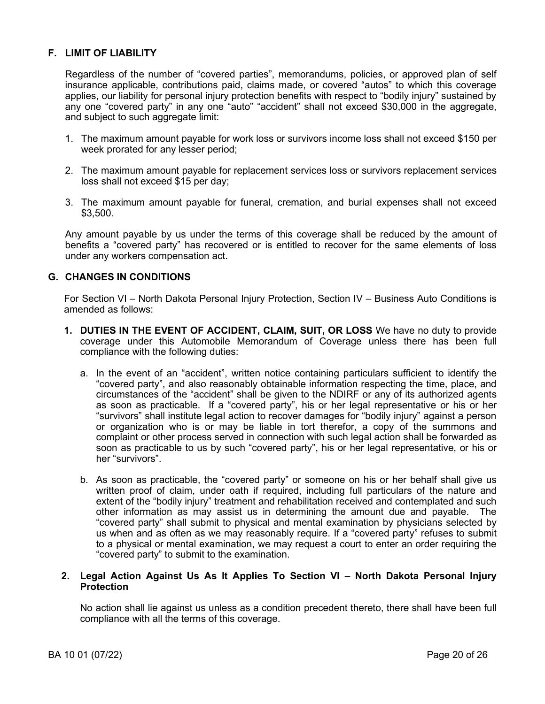# **F. LIMIT OF LIABILITY**

Regardless of the number of "covered parties", memorandums, policies, or approved plan of self insurance applicable, contributions paid, claims made, or covered "autos" to which this coverage applies, our liability for personal injury protection benefits with respect to "bodily injury" sustained by any one "covered party" in any one "auto" "accident" shall not exceed \$30,000 in the aggregate, and subject to such aggregate limit:

- 1. The maximum amount payable for work loss or survivors income loss shall not exceed \$150 per week prorated for any lesser period;
- 2. The maximum amount payable for replacement services loss or survivors replacement services loss shall not exceed \$15 per day;
- 3. The maximum amount payable for funeral, cremation, and burial expenses shall not exceed \$3,500.

Any amount payable by us under the terms of this coverage shall be reduced by the amount of benefits a "covered party" has recovered or is entitled to recover for the same elements of loss under any workers compensation act.

## **G. CHANGES IN CONDITIONS**

For Section VI – North Dakota Personal Injury Protection, Section IV – Business Auto Conditions is amended as follows:

- **1. DUTIES IN THE EVENT OF ACCIDENT, CLAIM, SUIT, OR LOSS** We have no duty to provide coverage under this Automobile Memorandum of Coverage unless there has been full compliance with the following duties:
	- a. In the event of an "accident", written notice containing particulars sufficient to identify the "covered party", and also reasonably obtainable information respecting the time, place, and circumstances of the "accident" shall be given to the NDIRF or any of its authorized agents as soon as practicable. If a "covered party", his or her legal representative or his or her "survivors" shall institute legal action to recover damages for "bodily injury" against a person or organization who is or may be liable in tort therefor, a copy of the summons and complaint or other process served in connection with such legal action shall be forwarded as soon as practicable to us by such "covered party", his or her legal representative, or his or her "survivors".
	- b. As soon as practicable, the "covered party" or someone on his or her behalf shall give us written proof of claim, under oath if required, including full particulars of the nature and extent of the "bodily injury" treatment and rehabilitation received and contemplated and such other information as may assist us in determining the amount due and payable. The "covered party" shall submit to physical and mental examination by physicians selected by us when and as often as we may reasonably require. If a "covered party" refuses to submit to a physical or mental examination, we may request a court to enter an order requiring the "covered party" to submit to the examination.

## **2. Legal Action Against Us As It Applies To Section VI – North Dakota Personal Injury Protection**

No action shall lie against us unless as a condition precedent thereto, there shall have been full compliance with all the terms of this coverage.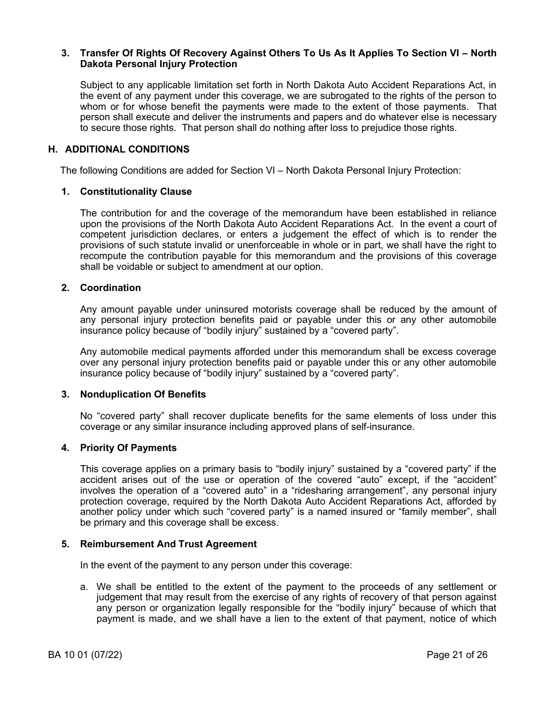### **3. Transfer Of Rights Of Recovery Against Others To Us As It Applies To Section VI – North Dakota Personal Injury Protection**

Subject to any applicable limitation set forth in North Dakota Auto Accident Reparations Act, in the event of any payment under this coverage, we are subrogated to the rights of the person to whom or for whose benefit the payments were made to the extent of those payments. That person shall execute and deliver the instruments and papers and do whatever else is necessary to secure those rights. That person shall do nothing after loss to prejudice those rights.

## **H. ADDITIONAL CONDITIONS**

The following Conditions are added for Section VI – North Dakota Personal Injury Protection:

#### **1. Constitutionality Clause**

The contribution for and the coverage of the memorandum have been established in reliance upon the provisions of the North Dakota Auto Accident Reparations Act. In the event a court of competent jurisdiction declares, or enters a judgement the effect of which is to render the provisions of such statute invalid or unenforceable in whole or in part, we shall have the right to recompute the contribution payable for this memorandum and the provisions of this coverage shall be voidable or subject to amendment at our option.

### **2. Coordination**

Any amount payable under uninsured motorists coverage shall be reduced by the amount of any personal injury protection benefits paid or payable under this or any other automobile insurance policy because of "bodily injury" sustained by a "covered party".

Any automobile medical payments afforded under this memorandum shall be excess coverage over any personal injury protection benefits paid or payable under this or any other automobile insurance policy because of "bodily injury" sustained by a "covered party".

#### **3. Nonduplication Of Benefits**

No "covered party" shall recover duplicate benefits for the same elements of loss under this coverage or any similar insurance including approved plans of self-insurance.

## **4. Priority Of Payments**

This coverage applies on a primary basis to "bodily injury" sustained by a "covered party" if the accident arises out of the use or operation of the covered "auto" except, if the "accident" involves the operation of a "covered auto" in a "ridesharing arrangement", any personal injury protection coverage, required by the North Dakota Auto Accident Reparations Act, afforded by another policy under which such "covered party" is a named insured or "family member", shall be primary and this coverage shall be excess.

#### **5. Reimbursement And Trust Agreement**

In the event of the payment to any person under this coverage:

a. We shall be entitled to the extent of the payment to the proceeds of any settlement or judgement that may result from the exercise of any rights of recovery of that person against any person or organization legally responsible for the "bodily injury" because of which that payment is made, and we shall have a lien to the extent of that payment, notice of which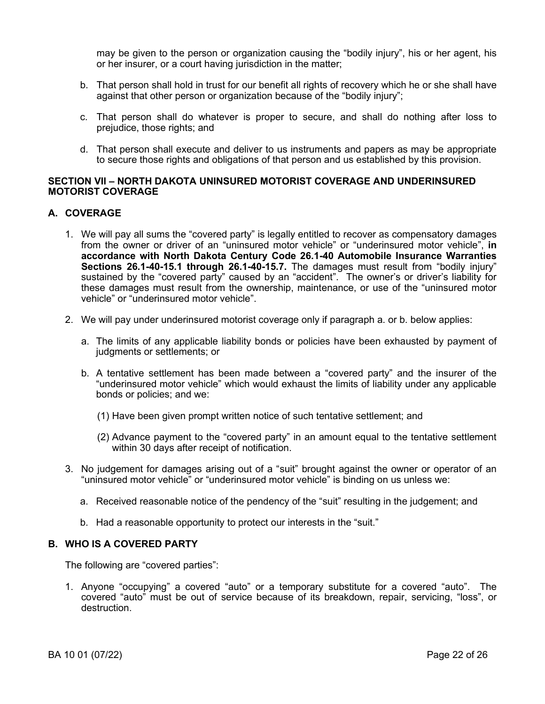may be given to the person or organization causing the "bodily injury", his or her agent, his or her insurer, or a court having jurisdiction in the matter;

- b. That person shall hold in trust for our benefit all rights of recovery which he or she shall have against that other person or organization because of the "bodily injury";
- c. That person shall do whatever is proper to secure, and shall do nothing after loss to prejudice, those rights; and
- d. That person shall execute and deliver to us instruments and papers as may be appropriate to secure those rights and obligations of that person and us established by this provision.

## **SECTION VII – NORTH DAKOTA UNINSURED MOTORIST COVERAGE AND UNDERINSURED MOTORIST COVERAGE**

# **A. COVERAGE**

- 1. We will pay all sums the "covered party" is legally entitled to recover as compensatory damages from the owner or driver of an "uninsured motor vehicle" or "underinsured motor vehicle", **in accordance with North Dakota Century Code 26.1-40 Automobile Insurance Warranties Sections 26.1-40-15.1 through 26.1-40-15.7.** The damages must result from "bodily injury" sustained by the "covered party" caused by an "accident". The owner's or driver's liability for these damages must result from the ownership, maintenance, or use of the "uninsured motor vehicle" or "underinsured motor vehicle".
- 2. We will pay under underinsured motorist coverage only if paragraph a. or b. below applies:
	- a. The limits of any applicable liability bonds or policies have been exhausted by payment of judgments or settlements; or
	- b. A tentative settlement has been made between a "covered party" and the insurer of the "underinsured motor vehicle" which would exhaust the limits of liability under any applicable bonds or policies; and we:
		- (1) Have been given prompt written notice of such tentative settlement; and
		- (2) Advance payment to the "covered party" in an amount equal to the tentative settlement within 30 days after receipt of notification.
- 3. No judgement for damages arising out of a "suit" brought against the owner or operator of an "uninsured motor vehicle" or "underinsured motor vehicle" is binding on us unless we:
	- a. Received reasonable notice of the pendency of the "suit" resulting in the judgement; and
	- b. Had a reasonable opportunity to protect our interests in the "suit."

## **B. WHO IS A COVERED PARTY**

The following are "covered parties":

1. Anyone "occupying" a covered "auto" or a temporary substitute for a covered "auto". The covered "auto" must be out of service because of its breakdown, repair, servicing, "loss", or destruction.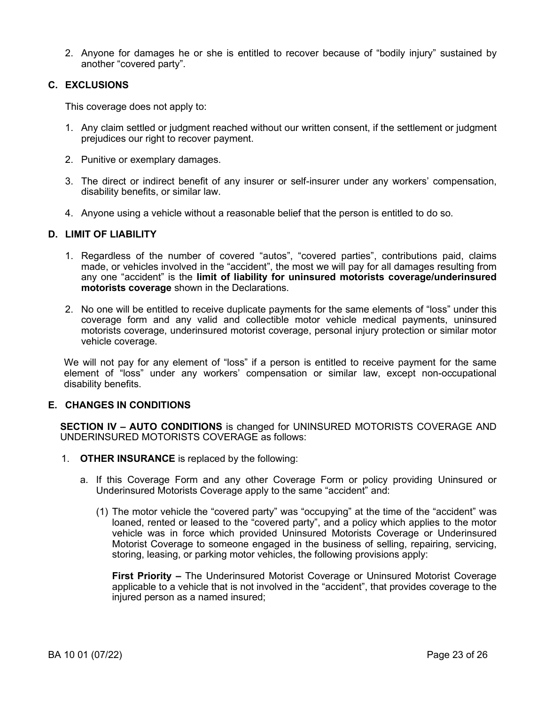2. Anyone for damages he or she is entitled to recover because of "bodily injury" sustained by another "covered party".

## **C. EXCLUSIONS**

This coverage does not apply to:

- 1. Any claim settled or judgment reached without our written consent, if the settlement or judgment prejudices our right to recover payment.
- 2. Punitive or exemplary damages.
- 3. The direct or indirect benefit of any insurer or self-insurer under any workers' compensation, disability benefits, or similar law.
- 4. Anyone using a vehicle without a reasonable belief that the person is entitled to do so.

## **D. LIMIT OF LIABILITY**

- 1. Regardless of the number of covered "autos", "covered parties", contributions paid, claims made, or vehicles involved in the "accident", the most we will pay for all damages resulting from any one "accident" is the **limit of liability for uninsured motorists coverage/underinsured motorists coverage** shown in the Declarations.
- 2. No one will be entitled to receive duplicate payments for the same elements of "loss" under this coverage form and any valid and collectible motor vehicle medical payments, uninsured motorists coverage, underinsured motorist coverage, personal injury protection or similar motor vehicle coverage.

We will not pay for any element of "loss" if a person is entitled to receive payment for the same element of "loss" under any workers' compensation or similar law, except non-occupational disability benefits.

## **E. CHANGES IN CONDITIONS**

**SECTION IV – AUTO CONDITIONS** is changed for UNINSURED MOTORISTS COVERAGE AND UNDERINSURED MOTORISTS COVERAGE as follows:

- 1. **OTHER INSURANCE** is replaced by the following:
	- a. If this Coverage Form and any other Coverage Form or policy providing Uninsured or Underinsured Motorists Coverage apply to the same "accident" and:
		- (1) The motor vehicle the "covered party" was "occupying" at the time of the "accident" was loaned, rented or leased to the "covered party", and a policy which applies to the motor vehicle was in force which provided Uninsured Motorists Coverage or Underinsured Motorist Coverage to someone engaged in the business of selling, repairing, servicing, storing, leasing, or parking motor vehicles, the following provisions apply:

**First Priority –** The Underinsured Motorist Coverage or Uninsured Motorist Coverage applicable to a vehicle that is not involved in the "accident", that provides coverage to the injured person as a named insured;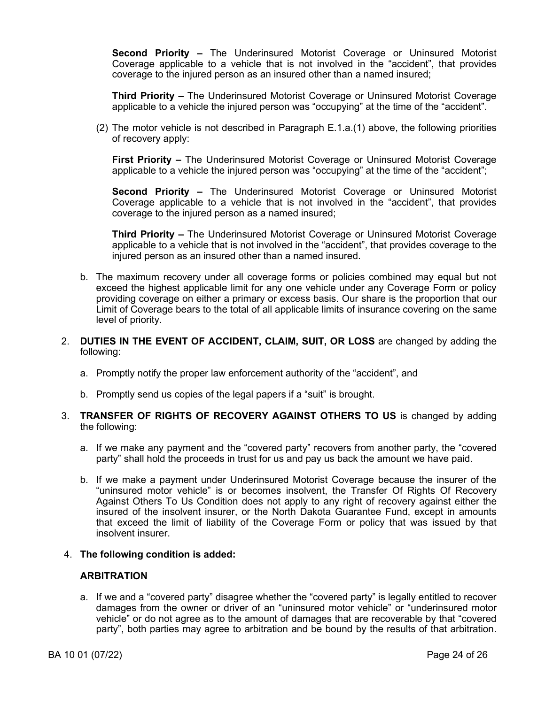**Second Priority –** The Underinsured Motorist Coverage or Uninsured Motorist Coverage applicable to a vehicle that is not involved in the "accident", that provides coverage to the injured person as an insured other than a named insured;

**Third Priority –** The Underinsured Motorist Coverage or Uninsured Motorist Coverage applicable to a vehicle the injured person was "occupying" at the time of the "accident".

(2) The motor vehicle is not described in Paragraph E.1.a.(1) above, the following priorities of recovery apply:

**First Priority –** The Underinsured Motorist Coverage or Uninsured Motorist Coverage applicable to a vehicle the injured person was "occupying" at the time of the "accident";

**Second Priority –** The Underinsured Motorist Coverage or Uninsured Motorist Coverage applicable to a vehicle that is not involved in the "accident", that provides coverage to the injured person as a named insured;

**Third Priority –** The Underinsured Motorist Coverage or Uninsured Motorist Coverage applicable to a vehicle that is not involved in the "accident", that provides coverage to the injured person as an insured other than a named insured.

- b. The maximum recovery under all coverage forms or policies combined may equal but not exceed the highest applicable limit for any one vehicle under any Coverage Form or policy providing coverage on either a primary or excess basis. Our share is the proportion that our Limit of Coverage bears to the total of all applicable limits of insurance covering on the same level of priority.
- 2. **DUTIES IN THE EVENT OF ACCIDENT, CLAIM, SUIT, OR LOSS** are changed by adding the following:
	- a. Promptly notify the proper law enforcement authority of the "accident", and
	- b. Promptly send us copies of the legal papers if a "suit" is brought.
- 3. **TRANSFER OF RIGHTS OF RECOVERY AGAINST OTHERS TO US** is changed by adding the following:
	- a. If we make any payment and the "covered party" recovers from another party, the "covered party" shall hold the proceeds in trust for us and pay us back the amount we have paid.
	- b. If we make a payment under Underinsured Motorist Coverage because the insurer of the "uninsured motor vehicle" is or becomes insolvent, the Transfer Of Rights Of Recovery Against Others To Us Condition does not apply to any right of recovery against either the insured of the insolvent insurer, or the North Dakota Guarantee Fund, except in amounts that exceed the limit of liability of the Coverage Form or policy that was issued by that insolvent insurer.
- 4. **The following condition is added:**

## **ARBITRATION**

a. If we and a "covered party" disagree whether the "covered party" is legally entitled to recover damages from the owner or driver of an "uninsured motor vehicle" or "underinsured motor vehicle" or do not agree as to the amount of damages that are recoverable by that "covered party", both parties may agree to arbitration and be bound by the results of that arbitration.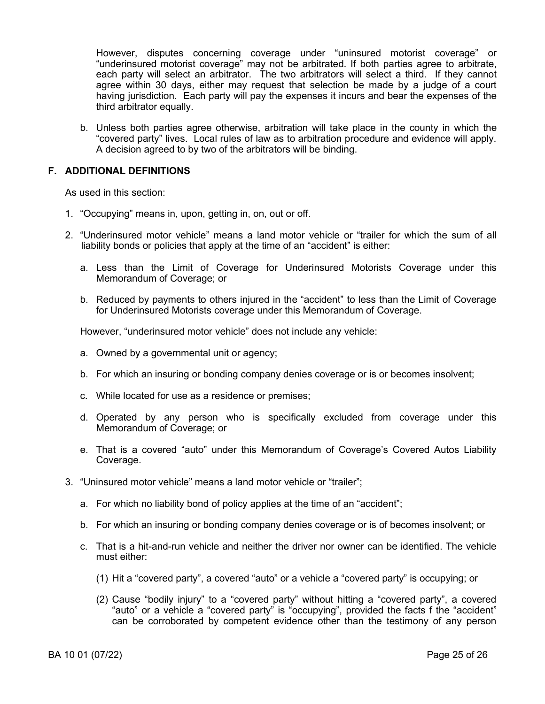However, disputes concerning coverage under "uninsured motorist coverage" or "underinsured motorist coverage" may not be arbitrated. If both parties agree to arbitrate, each party will select an arbitrator. The two arbitrators will select a third. If they cannot agree within 30 days, either may request that selection be made by a judge of a court having jurisdiction. Each party will pay the expenses it incurs and bear the expenses of the third arbitrator equally.

b. Unless both parties agree otherwise, arbitration will take place in the county in which the "covered party" lives. Local rules of law as to arbitration procedure and evidence will apply. A decision agreed to by two of the arbitrators will be binding.

# **F. ADDITIONAL DEFINITIONS**

As used in this section:

- 1. "Occupying" means in, upon, getting in, on, out or off.
- 2. "Underinsured motor vehicle" means a land motor vehicle or "trailer for which the sum of all liability bonds or policies that apply at the time of an "accident" is either:
	- a. Less than the Limit of Coverage for Underinsured Motorists Coverage under this Memorandum of Coverage; or
	- b. Reduced by payments to others injured in the "accident" to less than the Limit of Coverage for Underinsured Motorists coverage under this Memorandum of Coverage.

However, "underinsured motor vehicle" does not include any vehicle:

- a. Owned by a governmental unit or agency;
- b. For which an insuring or bonding company denies coverage or is or becomes insolvent;
- c. While located for use as a residence or premises;
- d. Operated by any person who is specifically excluded from coverage under this Memorandum of Coverage; or
- e. That is a covered "auto" under this Memorandum of Coverage's Covered Autos Liability Coverage.
- 3. "Uninsured motor vehicle" means a land motor vehicle or "trailer";
	- a. For which no liability bond of policy applies at the time of an "accident";
	- b. For which an insuring or bonding company denies coverage or is of becomes insolvent; or
	- c. That is a hit-and-run vehicle and neither the driver nor owner can be identified. The vehicle must either:
		- (1) Hit a "covered party", a covered "auto" or a vehicle a "covered party" is occupying; or
		- (2) Cause "bodily injury" to a "covered party" without hitting a "covered party", a covered "auto" or a vehicle a "covered party" is "occupying", provided the facts f the "accident" can be corroborated by competent evidence other than the testimony of any person